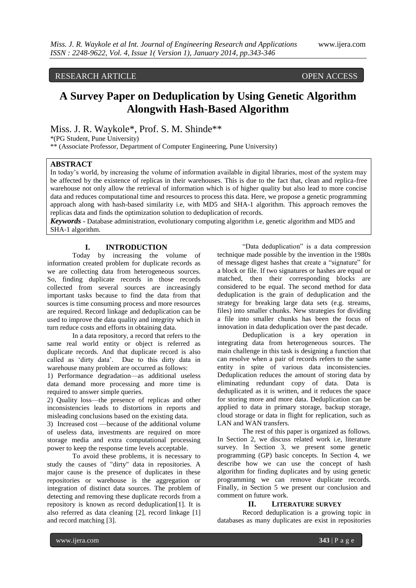## RESEARCH ARTICLE **CONTRACT OPEN ACCESS**

## **A Survey Paper on Deduplication by Using Genetic Algorithm Alongwith Hash-Based Algorithm**

Miss. J. R. Waykole\*, Prof. S. M. Shinde\*\*

\*(PG Student, Pune University)

\*\* (Associate Professor, Department of Computer Engineering, Pune University)

## **ABSTRACT**

In today's world, by increasing the volume of information available in digital libraries, most of the system may be affected by the existence of replicas in their warehouses. This is due to the fact that, clean and replica-free warehouse not only allow the retrieval of information which is of higher quality but also lead to more concise data and reduces computational time and resources to process this data. Here, we propose a genetic programming approach along with hash-based similarity i.e, with MD5 and SHA-1 algorithm. This approach removes the replicas data and finds the optimization solution to deduplication of records.

*Keywords* **-** Database administration, evolutionary computing algorithm i.e, genetic algorithm and MD5 and SHA-1 algorithm.

# **I. INTRODUCTION**<br>Today by increasing the

by increasing the volume of information created problem for duplicate records as we are collecting data from heterogeneous sources. So, finding duplicate records in those records collected from several sources are increasingly important tasks because to find the data from that sources is time consuming process and more resources are required. Record linkage and deduplication can be used to improve the data quality and integrity which in turn reduce costs and efforts in obtaining data.

In a data repository, a record that refers to the same real world entity or object is referred as duplicate records. And that duplicate record is also called as "dirty data". Due to this dirty data in warehouse many problem are occurred as follows:

1) Performance degradation—as additional useless data demand more processing and more time is required to answer simple queries.

2) Quality loss—the presence of replicas and other inconsistencies leads to distortions in reports and misleading conclusions based on the existing data.

3) Increased cost —because of the additional volume of useless data, investments are required on more storage media and extra computational processing power to keep the response time levels acceptable.

To avoid these problems, it is necessary to study the causes of "dirty" data in repositories. A major cause is the presence of duplicates in these repositories or warehouse is the aggregation or integration of distinct data sources. The problem of detecting and removing these duplicate records from a repository is known as record deduplication[1]. It is also referred as data cleaning [2], record linkage [1] and record matching [3].

"Data deduplication" is a data compression technique made possible by the invention in the 1980s of message digest hashes that create a "signature" for a block or file. If two signatures or hashes are equal or matched, then their corresponding blocks are considered to be equal. The second method for data deduplication is the grain of deduplication and the strategy for breaking large data sets (e.g. streams, files) into smaller chunks. New strategies for dividing a file into smaller chunks has been the focus of innovation in data deduplication over the past decade.

Deduplication is a key operation in integrating data from heterogeneous sources. The main challenge in this task is designing a function that can resolve when a pair of records refers to the same entity in spite of various data inconsistencies. Deduplication reduces the amount of storing data by eliminating redundant copy of data. Data is deduplicated as it is written, and it reduces the space for storing more and more data. Deduplication can be applied to data in primary storage, backup storage, cloud storage or data in flight for replication, such as LAN and WAN transfers.

The rest of this paper is organized as follows. In Section 2, we discuss related work i.e, literature survey. In Section 3, we present some genetic programming (GP) basic concepts. In Section 4, we describe how we can use the concept of hash algorithm for finding duplicates and by using genetic programming we can remove duplicate records. Finally, in Section 5 we present our conclusion and comment on future work.

## **II. LITERATURE SURVEY**

Record deduplication is a growing topic in databases as many duplicates are exist in repositories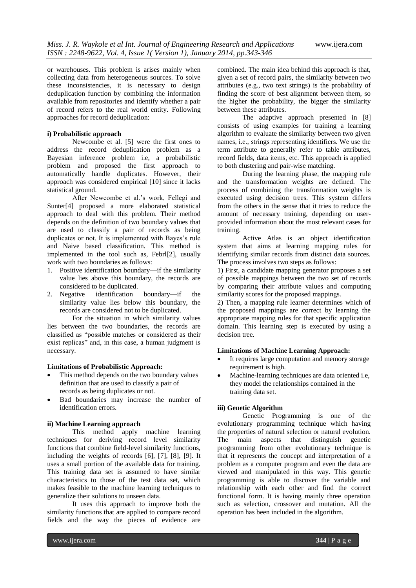or warehouses. This problem is arises mainly when collecting data from heterogeneous sources. To solve these inconsistencies, it is necessary to design deduplication function by combining the information available from repositories and identify whether a pair of record refers to the real world entity. Following approaches for record deduplication:

#### **i) Probabilistic approach**

Newcombe et al. [5] were the first ones to address the record deduplication problem as a Bayesian inference problem i.e, a probabilistic problem and proposed the first approach to automatically handle duplicates. However, their approach was considered empirical [10] since it lacks statistical ground.

After Newcombe et al."s work, Fellegi and Sunter[4] proposed a more elaborated statistical approach to deal with this problem. Their method depends on the definition of two boundary values that are used to classify a pair of records as being duplicates or not. It is implemented with Bayes's rule and Naive based classification. This method is implemented in the tool such as, Febrl[2], usually work with two boundaries as follows:

- 1. Positive identification boundary—if the similarity value lies above this boundary, the records are considered to be duplicated.<br>2. Negative identification
- boundary—if the similarity value lies below this boundary, the records are considered not to be duplicated.

For the situation in which similarity values lies between the two boundaries, the records are classified as "possible matches or considered as their exist replicas" and, in this case, a human judgment is necessary.

## **Limitations of Probabilistic Approach:**

- This method depends on the two boundary values definition that are used to classify a pair of records as being duplicates or not.
- Bad boundaries may increase the number of identification errors.

## **ii) Machine Learning approach**

This method apply machine learning techniques for deriving record level similarity functions that combine field-level similarity functions, including the weights of records [6], [7], [8], [9]. It uses a small portion of the available data for training. This training data set is assumed to have similar characteristics to those of the test data set, which makes feasible to the machine learning techniques to generalize their solutions to unseen data.

It uses this approach to improve both the similarity functions that are applied to compare record fields and the way the pieces of evidence are

combined. The main idea behind this approach is that, given a set of record pairs, the similarity between two attributes (e.g., two text strings) is the probability of finding the score of best alignment between them, so the higher the probability, the bigger the similarity between these attributes.

The adaptive approach presented in [8] consists of using examples for training a learning algorithm to evaluate the similarity between two given names, i.e., strings representing identifiers. We use the term attribute to generally refer to table attributes, record fields, data items, etc. This approach is applied to both clustering and pair-wise matching.

During the learning phase, the mapping rule and the transformation weights are defined. The process of combining the transformation weights is executed using decision trees. This system differs from the others in the sense that it tries to reduce the amount of necessary training, depending on userprovided information about the most relevant cases for training.

Active Atlas is an object identification system that aims at learning mapping rules for identifying similar records from distinct data sources. The process involves two steps as follows:

1) First, a candidate mapping generator proposes a set of possible mappings between the two set of records by comparing their attribute values and computing similarity scores for the proposed mappings.

2) Then, a mapping rule learner determines which of the proposed mappings are correct by learning the appropriate mapping rules for that specific application domain. This learning step is executed by using a decision tree.

#### **Limitations of Machine Learning Approach:**

- It requires large computation and memory storage requirement is high.
- Machine-learning techniques are data oriented i.e, they model the relationships contained in the training data set.

#### **iii) Genetic Algorithm**

Genetic Programming is one of the evolutionary programming technique which having the properties of natural selection or natural evolution.<br>The main aspects that distinguish genetic main aspects that programming from other evolutionary technique is that it represents the concept and interpretation of a problem as a computer program and even the data are viewed and manipulated in this way. This genetic programming is able to discover the variable and relationship with each other and find the correct functional form. It is having mainly three operation such as selection, crossover and mutation. All the operation has been included in the algorithm.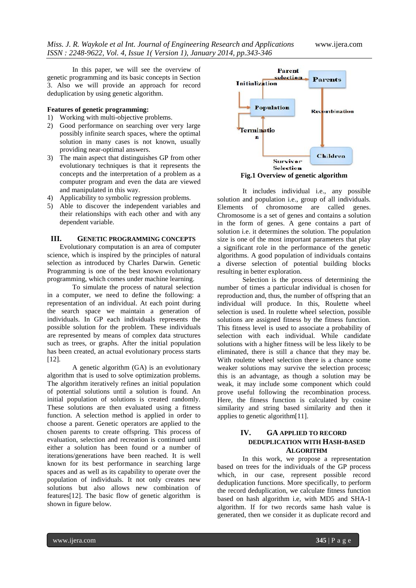In this paper, we will see the overview of genetic programming and its basic concepts in Section 3. Also we will provide an approach for record deduplication by using genetic algorithm.

#### **Features of genetic programming:**

- 1) Working with multi-objective problems.
- 2) Good performance on searching over very large possibly infinite search spaces, where the optimal solution in many cases is not known, usually providing near-optimal answers.
- 3) The main aspect that distinguishes GP from other evolutionary techniques is that it represents the concepts and the interpretation of a problem as a computer program and even the data are viewed and manipulated in this way.
- 4) Applicability to symbolic regression problems.
- 5) Able to discover the independent variables and their relationships with each other and with any dependent variable.

#### **III. GENETIC PROGRAMMING CONCEPTS**

Evolutionary computation is an area of computer science, which is inspired by the principles of natural selection as introduced by Charles Darwin. Genetic Programming is one of the best known evolutionary programming, which comes under machine learning.

To simulate the process of natural selection in a computer, we need to define the following: a representation of an individual. At each point during the search space we maintain a generation of individuals. In GP each individuals represents the possible solution for the problem. These individuals are represented by means of complex data structures such as trees, or graphs. After the initial population has been created, an actual evolutionary process starts [12].

A genetic algorithm (GA) is an evolutionary algorithm that is used to solve optimization problems. The algorithm iteratively refines an initial population of potential solutions until a solution is found. An initial population of solutions is created randomly. These solutions are then evaluated using a fitness function. A selection method is applied in order to choose a parent. Genetic operators are applied to the chosen parents to create offspring. This process of evaluation, selection and recreation is continued until either a solution has been found or a number of iterations/generations have been reached. It is well known for its best performance in searching large spaces and as well as its capability to operate over the population of individuals. It not only creates new solutions but also allows new combination of features[12]. The basic flow of genetic algorithm is shown in figure below.



**Fig.1 Overview of genetic algorithm**

It includes individual i.e., any possible solution and population i.e., group of all individuals. Elements of chromosome are called genes. Chromosome is a set of genes and contains a solution in the form of genes. A gene contains a part of solution i.e. it determines the solution. The population size is one of the most important parameters that play a significant role in the performance of the genetic algorithms. A good population of individuals contains a diverse selection of potential building blocks resulting in better exploration.

Selection is the process of determining the number of times a particular individual is chosen for reproduction and, thus, the number of offspring that an individual will produce. In this, Roulette wheel selection is used. In roulette wheel selection, possible solutions are assigned fitness by the fitness function. This fitness level is used to associate a probability of selection with each individual. While candidate solutions with a higher fitness will be less likely to be eliminated, there is still a chance that they may be. With roulette wheel selection there is a chance some weaker solutions may survive the selection process; this is an advantage, as though a solution may be weak, it may include some component which could prove useful following the recombination process. Here, the fitness function is calculated by cosine similarity and string based similarity and then it applies to genetic algorithm[11].

## **IV. GA APPLIED TO RECORD DEDUPLICATION WITH HASH-BASED ALGORITHM**

In this work, we propose a representation based on trees for the individuals of the GP process which, in our case, represent possible record deduplication functions. More specifically, to perform the record deduplication, we calculate fitness function based on hash algorithm i.e, with MD5 and SHA-1 algorithm. If for two records same hash value is generated, then we consider it as duplicate record and